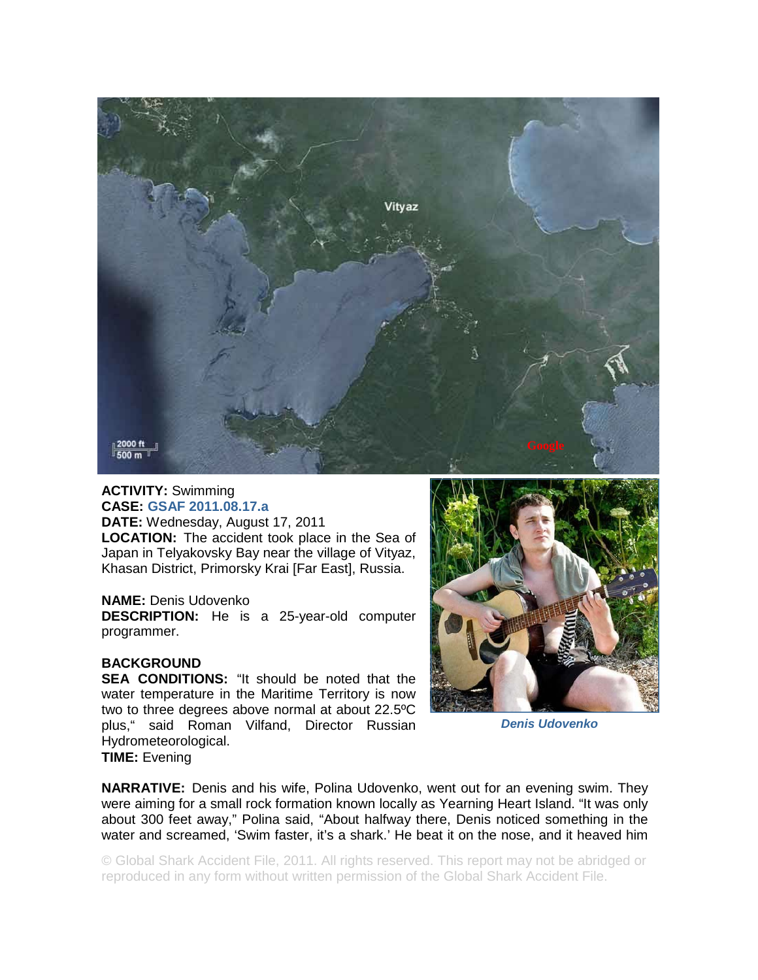

## **ACTIVITY:** Swimming **CASE: GSAF 2011.08.17.a**

**DATE:** Wednesday, August 17, 2011 **LOCATION:** The accident took place in the Sea of Japan in Telyakovsky Bay near the village of Vityaz, Khasan District, Primorsky Krai [Far East], Russia.

## **NAME:** Denis Udovenko

**DESCRIPTION:** He is a 25-year-old computer programmer.

## **BACKGROUND**

**SEA CONDITIONS:** "It should be noted that the water temperature in the Maritime Territory is now two to three degrees above normal at about 22.5ºC plus," said Roman Vilfand, Director Russian Hydrometeorological. **TIME:** Evening



*Denis Udovenko* 

**NARRATIVE:** Denis and his wife, Polina Udovenko, went out for an evening swim. They were aiming for a small rock formation known locally as Yearning Heart Island. "It was only about 300 feet away," Polina said, "About halfway there, Denis noticed something in the water and screamed, 'Swim faster, it's a shark.' He beat it on the nose, and it heaved him

© Global Shark Accident File, 2011. All rights reserved. This report may not be abridged or reproduced in any form without written permission of the Global Shark Accident File.